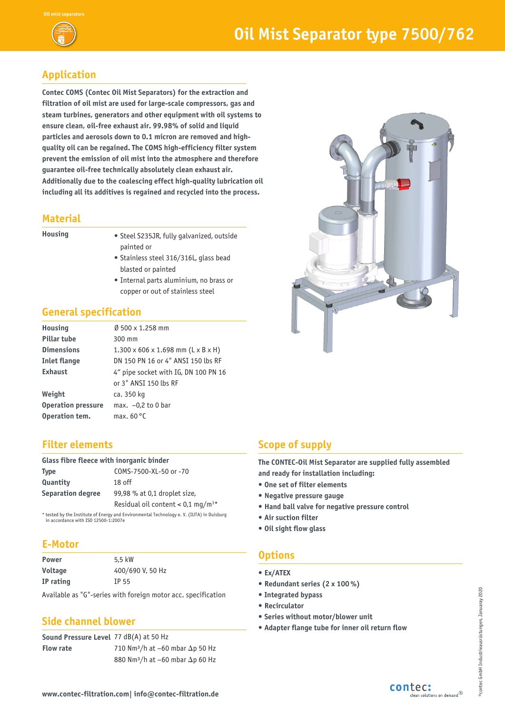

# **Application**

**Contec COMS (Contec Oil Mist Separators) for the extraction and filtration of oil mist are used for large-scale compressors, gas and steam turbines, generators and other equipment with oil systems to ensure clean, oil-free exhaust air. 99.98% of solid and liquid particles and aerosols down to 0.1 micron are removed and highquality oil can be regained. The COMS high-efficiency filter system prevent the emission of oil mist into the atmosphere and therefore guarantee oil-free technically absolutely clean exhaust air. Additionally due to the coalescing effect high-quality lubrication oil including all its additives is regained and recycled into the process.**

#### **Material**

- **Housing** Steel S235JR, fully galvanized, outside painted or
	- Stainless steel 316/316L, glass bead blasted or painted
	- Internal parts aluminium, no brass or copper or out of stainless steel

# **General specification**

| <b>Housing</b>            | $\emptyset$ 500 x 1.258 mm                     |
|---------------------------|------------------------------------------------|
| <b>Pillar tube</b>        | 300 mm                                         |
| <b>Dimensions</b>         | $1.300 \times 606 \times 1.698$ mm (L x B x H) |
| Inlet flange              | DN 150 PN 16 or 4" ANSI 150 lbs RF             |
| <b>Exhaust</b>            | 4" pipe socket with IG, DN 100 PN 16           |
|                           | or 3" ANSI 150 lbs RF                          |
| Weight                    | ca. 350 kg                                     |
| <b>Operation pressure</b> | max. $-0.2$ to 0 bar                           |
| Operation tem.            | max. $60^{\circ}$ C                            |

### **Filter elements**

| Glass fibre fleece with inorganic binder |                                                 |  |  |  |
|------------------------------------------|-------------------------------------------------|--|--|--|
| Type                                     | COMS-7500-XL-50 or -70                          |  |  |  |
| Quantity                                 | $18$ off                                        |  |  |  |
| <b>Separation degree</b>                 | 99,98 % at 0,1 droplet size,                    |  |  |  |
|                                          | Residual oil content $< 0.1$ mg/m <sup>3*</sup> |  |  |  |
|                                          |                                                 |  |  |  |

tested by the Institute of Energy and Environmental Technology e. V. (IUTA) in Duisburg in accordance with ISO 12500-1:2007e

### **E-Motor**

| Power     | 5.5 kW           |
|-----------|------------------|
| Voltage   | 400/690 V, 50 Hz |
| IP rating | TP 55            |

Available as "G"-series with foreign motor acc. specification

### **Side channel blower**

**Sound Pressure Level**  77 dB(A) at 50 Hz **Flow rate** 710 Nm<sup>3</sup>/h at  $-60$  mbar  $\Delta p$  50 Hz 880 Nm<sup>3</sup>/h at  $-60$  mbar  $\Delta p$  60 Hz

# **Scope of supply**

**The CONTEC-Oil Mist Separator are supplied fully assembled and ready for installation including:**

- **One set of filter elements**
- **Negative pressure gauge**
- **Hand ball valve for negative pressure control**
- **Air suction filter**
- **Oil sight flow glass**

# **Options**

- **Ex/ATEX**
- **Redundant series (2 x 100 %)**
- **• Integrated bypass**
- **• Recirculator**
- **• Series without motor/blower unit**
- **Adapter flange tube for inner oil return flow**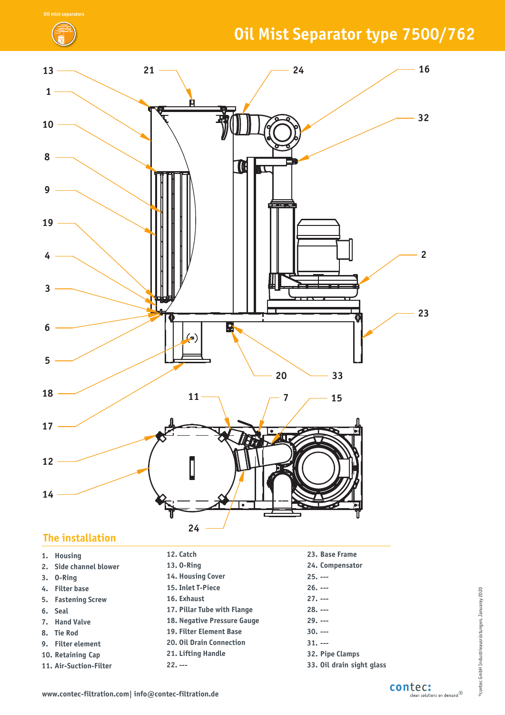# **Oil Mist Separator type 7500/762**



## **The installation**

| 1. Housing             | 12. Catch                       | 23. Base Frame            |
|------------------------|---------------------------------|---------------------------|
| 2. Side channel blower | 13.0-Ring                       | 24. Compensator           |
| $3.$ 0-Ring            | 14. Housing Cover               | $25. - -$                 |
| 4. Filter base         | 15. Inlet T-Piece               | $26. --$                  |
| 5. Fastening Screw     | 16. Exhaust                     | $27. - -$                 |
| 6. Seal                | 17. Pillar Tube with Flange     | $28. --$                  |
| 7. Hand Valve          | 18. Negative Pressure Gauge     | $29. - -$                 |
| 8. Tie Rod             | <b>19. Filter Element Base</b>  | $30. - -$                 |
| 9. Filter element      | <b>20. Oil Drain Connection</b> | $31. - -$                 |
| 10. Retaining Cap      | 21. Lifting Handle              | 32. Pipe Clamps           |
| 11. Air-Suction-Filter | $22. - -$                       | 33. Oil drain sight glass |

# ®contec GmbH Industrieausrüstungen, Januaray 2020 ©contec GmbH Industrieausrüstungen, Januaray 2020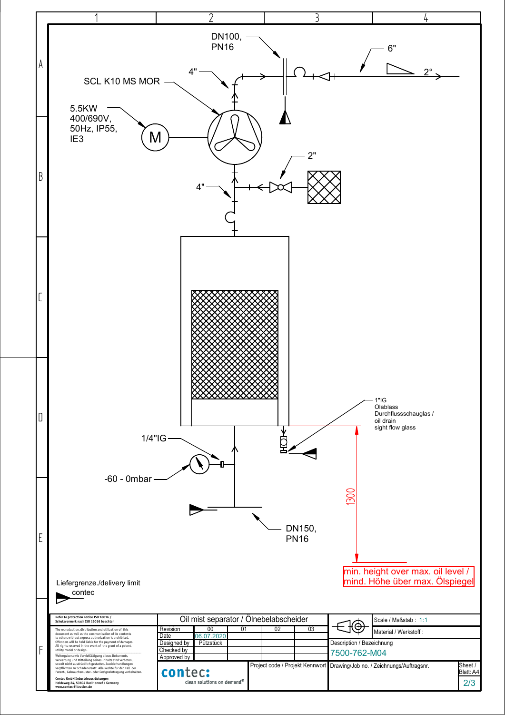